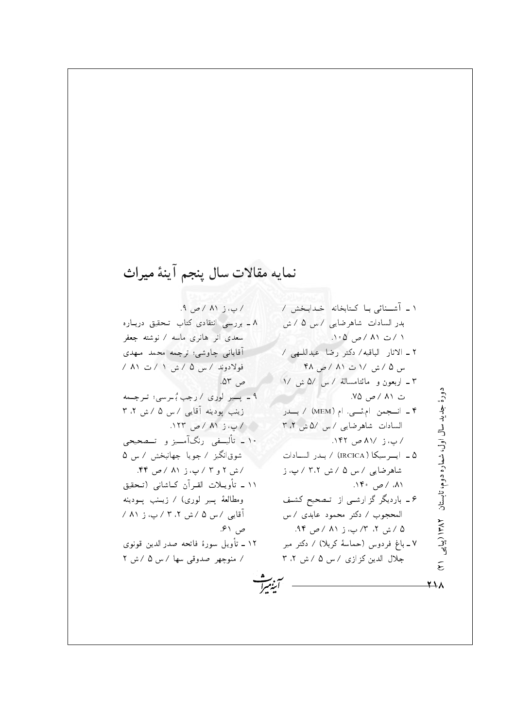## نمايه مقالات سال پنجم آينهٔ ميراث

 $A \cup (A \cup C)$ ۸ ـ بررسی انتقادی کتاب تـحقیق دربـاره سعدی اثر هانری ماسه / نوشته جعفر آقایانی چاوشی؛ ترجمه محمد مـهدی فولادوند / س ۵ / ش ۱ / ت ۸۱ / ص ۵۳. ۹ = پسیر الوری / رجب بُالرسی؛ تلرجمه زينب يودينه آقايي /س ۵ / ش ۳،۲ / پ، ز ۸۱ / ص ۱۲۳. ۱۰ ـ تأليسفي رنگآمسيز و تسصحيحي شوقانگیز / جویا جهانبخش / س ۵ /ش ۲ و ۳ / پ، ز ۸۱ / ص ۴۴. ١١ ـ تأويــلات القـرآن كــاشانـي (تــحقيق ومطالعهٔ پس لوری) / زیسنب پسودینه آقایی / س ۵ / ش ۲،۲ / پ، ز ۸۱ / ص ۶۱. ١٢ ـ تأويل سورة فاتحه صدر الدين قونوي / منوچهر صدوقی سها /س ۵ /ش ۲

١ \_ آشــنائى بـا كـتابخانه خـدابـخش / بدر السادات شاهرضایی /س ۵ / ش ١ / ت ٨١ / ص ١٥٥. ٢ ـ الاثار الباقيه/ دكتر رضا عبداللَّـهي / س ۵ / ش / ۱ ت ۸۱ / ص ۴۸ ۳ ـ اربعون و مائتامسالة / س /۵ ش /۱ دورهٔ جدید سال اول، شماره دوم، تابستان ۱۳۸۲ (بیایی ت ۸۱ / ص ۷۵. ۴ ـ انسجمن ام.ئسی. ام (MEM) / بسدر السادات شاهرضایی /س /۵ ش ۲.۲ / پ، ز /٨١ ص ١۴٢. ۵ ـ ايسرسيكا (IRCICA) / بيدر السيادات | شاهرضایبی /س ۵ /ش ۳،۲ / پ، ز  $\Lambda^* \circ \sim / \Lambda$ ۶ ـ باردیگر گز ارشـی از تـصحیح کشـف المحجوب / دكتر محمود عابدي / س ۵ /ش ۲، ۳/ پ، ز ۸۱ /ص ۹۴. ۷ ـ باغ فردوس (حماسهٔ کربلا) / دکتر میر جلال الدین کزازی / س ۵ / ش ۲ ، ۳  $\tilde{\epsilon}$  $\overline{X}$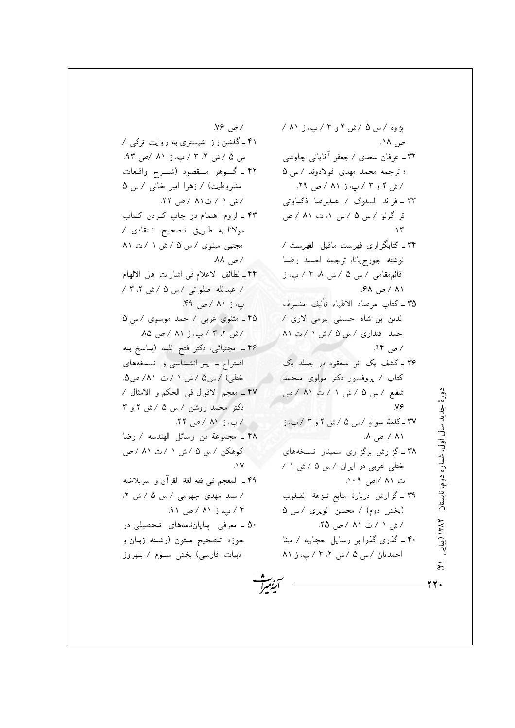پژوه /س ۵ /ش ۲ و ۳ / پ، ز ۸۱ / ص ۱۸. ۳۲ ــ عرفان سعدی / جعفر آقایانبی چاوشبی ؛ ترجمه محمد مهدی فولادوند / س ۵ /ش ۲ و ۳ / پ، ز ۸۱ / ص ۲۹. ۳۳ ـ فرائد السلوک / عــليرضا ذکـاوتبي قر اگزلو / س ۵ / ش ۱، ت ۸۱ / ص  $\Lambda$ ۳۴ ـ کتابگزاری فهرست ماقبل الفهرست / نوشته جورجيانا، ترجمه احــمد رضـا قائم مقامی / س ۵ / ش ۸. ۳ / پ. ز ۸۱ /ص ۶۸. ٣۵ ـ كتاب مرصاد الاطباء تأليف مشـرف الدین ابن شاہ حسینی بیرمی لاری / احمد اقتداری /س ۵ /ش ١ /ت ٨١ / ص ۹۴. ۳۶ ـ کشف یک اثر مفقود در جلد یک کتاب / پروفسور دکتر مولوی مـحمد شفیع / س ۵ / ش ۱ / ت ۸۱ / ص  $N_f$ ٣٧ ـ كلمة سواءِ /س ۵ /ش ٢ و ٣ / پ، ز  $\Lambda \rightarrow \Lambda$ ۳۸ ـ گزارش برگزاری سمینار نسـخههای خطی عربی در ایران /س ۵ /ش ۱ / ت ۸۱ /ص ۰۹ (۰ ۳۹ ـ گزارش دربارهٔ منابع نـزهة القــلوب (بخش دوم) / محسن الويري / س ۵ /ش ۱ /ت ۸۱ / ص ۲۵. ۴۰ ـ گذری گذرا بر رسایل حجابیه / مینا احمدیان /س ۵ /ش ۲،۲ /پ، ز ۸۱ <u>۲۲</u>۰

دورهٔ جدید سال اول، شماره دوم، تابستان ۱۳۸۲ (بیایی

 $\tilde{\epsilon}$